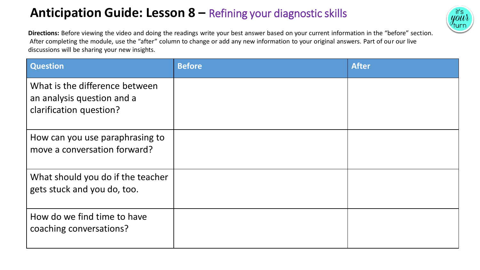## **Anticipation Guide: Lesson 8 –** Refining your diagnostic skills



**Directions:** Before viewing the video and doing the readings write your best answer based on your current information in the "before" section. After completing the module, use the "after" column to change or add any new information to your original answers. Part of our our live discussions will be sharing your new insights.

| <b>Question</b>                                                                         | <b>Before</b> | <b>After</b> |
|-----------------------------------------------------------------------------------------|---------------|--------------|
| What is the difference between<br>an analysis question and a<br>clarification question? |               |              |
| How can you use paraphrasing to<br>move a conversation forward?                         |               |              |
| What should you do if the teacher<br>gets stuck and you do, too.                        |               |              |
| How do we find time to have<br>coaching conversations?                                  |               |              |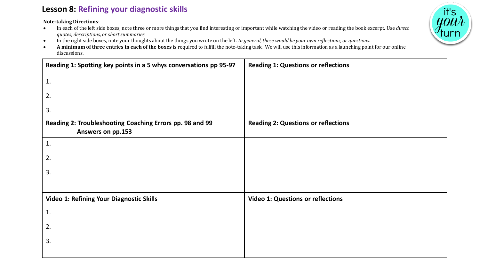## **Lesson 8: Refining your diagnostic skills**

**Note-taking Directions**:

- In each of the left side boxes, note three or more things that you find interesting or important while watching the video or reading the book excerpt. Use *direct quotes, descriptions, or short summaries.*
- In the right side boxes, note your thoughts about the things you wrote on the left. *In general, these would be your own reflections, or questions.*
- **A minimum of three entries in each of the boxes** is required to fulfill the note-taking task. We will use this information as a launching point for our online discussions.

| Reading 1: Spotting key points in a 5 whys conversations pp 95-97             | <b>Reading 1: Questions or reflections</b> |
|-------------------------------------------------------------------------------|--------------------------------------------|
| 1.                                                                            |                                            |
| 2.                                                                            |                                            |
| 3.                                                                            |                                            |
| Reading 2: Troubleshooting Coaching Errors pp. 98 and 99<br>Answers on pp.153 | <b>Reading 2: Questions or reflections</b> |
| 1.                                                                            |                                            |
| 2.                                                                            |                                            |
| 3.                                                                            |                                            |
|                                                                               |                                            |
| Video 1: Refining Your Diagnostic Skills                                      | <b>Video 1: Questions or reflections</b>   |
| 1.                                                                            |                                            |
| 2.                                                                            |                                            |
| 3.                                                                            |                                            |
|                                                                               |                                            |